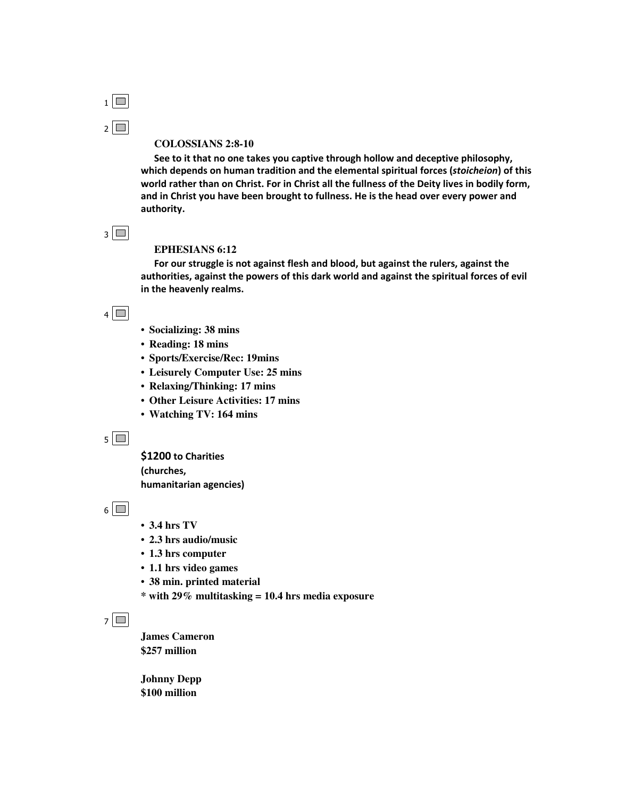

#### **COLOSSIANS 2:8-10**

See to it that no one takes you captive through hollow and deceptive philosophy, which depends on human tradition and the elemental spiritual forces (stoicheion) of this world rather than on Christ. For in Christ all the fullness of the Deity lives in bodily form, and in Christ you have been brought to fullness. He is the head over every power and authority.

 $3$ 

#### **EPHESIANS 6:12**

For our struggle is not against flesh and blood, but against the rulers, against the authorities, against the powers of this dark world and against the spiritual forces of evil in the heavenly realms.

### $4$

- **Socializing: 38 mins**
- **Reading: 18 mins**
- **Sports/Exercise/Rec: 19mins**
- **Leisurely Computer Use: 25 mins**
- **Relaxing/Thinking: 17 mins**
- **Other Leisure Activities: 17 mins**
- **Watching TV: 164 mins**

 $5\sqrt{2}$ 

\$1200 to Charities (churches, humanitarian agencies)

 $6\sqrt{m}$ 

- **3.4 hrs TV**
- **2.3 hrs audio/music**
- **1.3 hrs computer**
- **1.1 hrs video games**
- **38 min. printed material**
- **\* with 29% multitasking = 10.4 hrs media exposure**

### $7\sqrt{2}$

**James Cameron \$257 million**

**Johnny Depp \$100 million**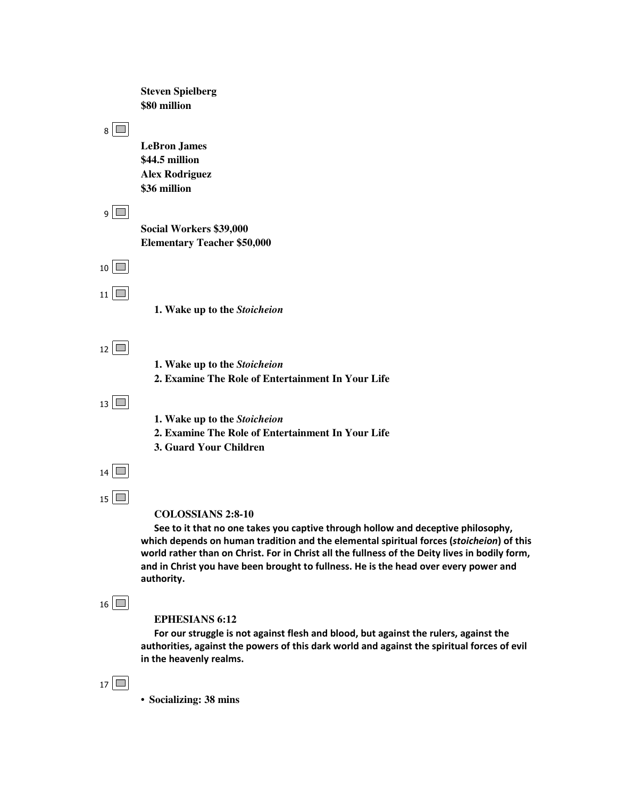**Steven Spielberg \$80 million**  $8$ **LeBron James \$44.5 million Alex Rodriguez \$36 million**  $9$ **Social Workers \$39,000 Elementary Teacher \$50,000**  $10$  $11$   $\blacksquare$ **1. Wake up to the** *Stoicheion*  $12$   $\blacksquare$ **1. Wake up to the** *Stoicheion* **2. Examine The Role of Entertainment In Your Life**  $13$   $\blacksquare$ **1. Wake up to the** *Stoicheion* **2. Examine The Role of Entertainment In Your Life 3. Guard Your Children**  $14$  $15$ **COLOSSIANS 2:8-10** See to it that no one takes you captive through hollow and deceptive philosophy, which depends on human tradition and the elemental spiritual forces (stoicheion) of this world rather than on Christ. For in Christ all the fullness of the Deity lives in bodily form, and in Christ you have been brought to fullness. He is the head over every power and authority.  $16$ **EPHESIANS 6:12** For our struggle is not against flesh and blood, but against the rulers, against the authorities, against the powers of this dark world and against the spiritual forces of evil in the heavenly realms.  $17$ 

• **Socializing: 38 mins**